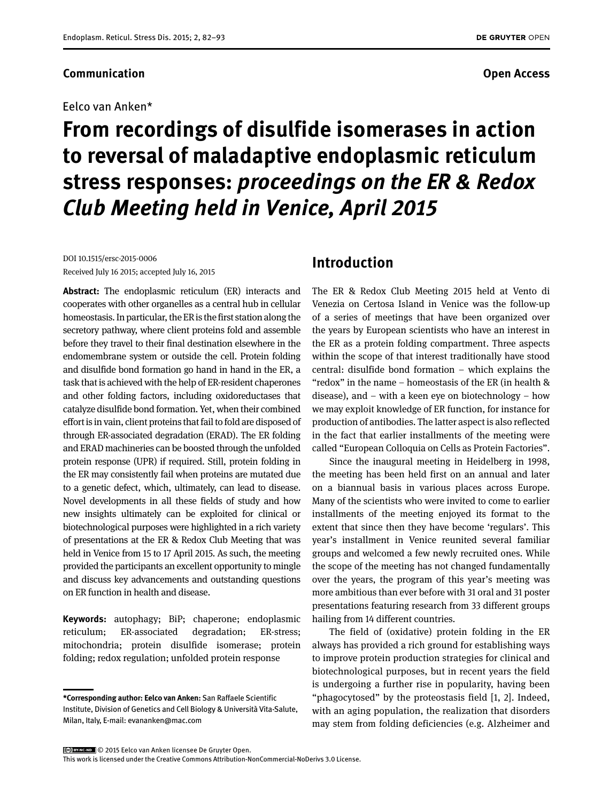#### **Communication Open Access**

#### Eelco van Anken\*

# **From recordings of disulfide isomerases in action to reversal of maladaptive endoplasmic reticulum stress responses:** *proceedings on the ER & Redox Club Meeting held in Venice, April 2015*

DOI 10.1515/ersc-2015-0006 Received July 16 2015; accepted July 16, 2015

**Abstract:** The endoplasmic reticulum (ER) interacts and cooperates with other organelles as a central hub in cellular homeostasis. In particular, the ER is the first station along the secretory pathway, where client proteins fold and assemble before they travel to their final destination elsewhere in the endomembrane system or outside the cell. Protein folding and disulfide bond formation go hand in hand in the ER, a task that is achieved with the help of ER-resident chaperones and other folding factors, including oxidoreductases that catalyze disulfide bond formation. Yet, when their combined effort is in vain, client proteins that fail to fold are disposed of through ER-associated degradation (ERAD). The ER folding and ERAD machineries can be boosted through the unfolded protein response (UPR) if required. Still, protein folding in the ER may consistently fail when proteins are mutated due to a genetic defect, which, ultimately, can lead to disease. Novel developments in all these fields of study and how new insights ultimately can be exploited for clinical or biotechnological purposes were highlighted in a rich variety of presentations at the ER & Redox Club Meeting that was held in Venice from 15 to 17 April 2015. As such, the meeting provided the participants an excellent opportunity to mingle and discuss key advancements and outstanding questions on ER function in health and disease.

**Keywords:** autophagy; BiP; chaperone; endoplasmic reticulum; ER-associated degradation; ER-stress; mitochondria; protein disulfide isomerase; protein folding; redox regulation; unfolded protein response

## **Introduction**

The ER & Redox Club Meeting 2015 held at Vento di Venezia on Certosa Island in Venice was the follow-up of a series of meetings that have been organized over the years by European scientists who have an interest in the ER as a protein folding compartment. Three aspects within the scope of that interest traditionally have stood central: disulfide bond formation – which explains the "redox" in the name – homeostasis of the ER (in health & disease), and – with a keen eye on biotechnology – how we may exploit knowledge of ER function, for instance for production of antibodies. The latter aspect is also reflected in the fact that earlier installments of the meeting were called "European Colloquia on Cells as Protein Factories".

Since the inaugural meeting in Heidelberg in 1998, the meeting has been held first on an annual and later on a biannual basis in various places across Europe. Many of the scientists who were invited to come to earlier installments of the meeting enjoyed its format to the extent that since then they have become 'regulars'. This year's installment in Venice reunited several familiar groups and welcomed a few newly recruited ones. While the scope of the meeting has not changed fundamentally over the years, the program of this year's meeting was more ambitious than ever before with 31 oral and 31 poster presentations featuring research from 33 different groups hailing from 14 different countries.

The field of (oxidative) protein folding in the ER always has provided a rich ground for establishing ways to improve protein production strategies for clinical and biotechnological purposes, but in recent years the field is undergoing a further rise in popularity, having been "phagocytosed" by the proteostasis field [1, 2]. Indeed, with an aging population, the realization that disorders may stem from folding deficiencies (e.g. Alzheimer and

© 2015 Eelco van Anken licensee De Gruyter Open.

**<sup>\*</sup>Corresponding author: Eelco van Anken:** San Raffaele Scientific Institute, Division of Genetics and Cell Biology & Università Vita-Salute, Milan, Italy, E-mail: evananken@mac.com

This work is licensed under the Creative Commons Attribution-NonCommercial-NoDerivs 3.0 License.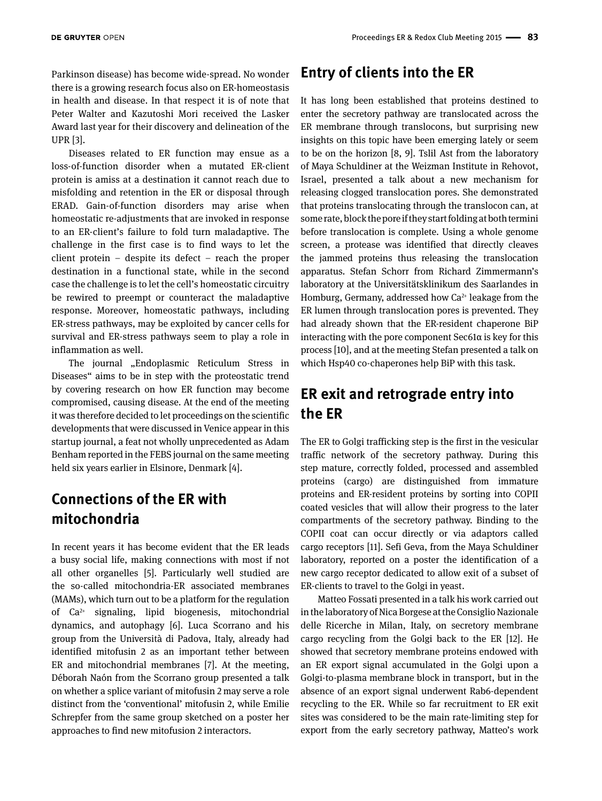Parkinson disease) has become wide-spread. No wonder there is a growing research focus also on ER-homeostasis in health and disease. In that respect it is of note that Peter Walter and Kazutoshi Mori received the Lasker Award last year for their discovery and delineation of the UPR [3].

Diseases related to ER function may ensue as a loss-of-function disorder when a mutated ER-client protein is amiss at a destination it cannot reach due to misfolding and retention in the ER or disposal through ERAD. Gain-of-function disorders may arise when homeostatic re-adjustments that are invoked in response to an ER-client's failure to fold turn maladaptive. The challenge in the first case is to find ways to let the client protein – despite its defect – reach the proper destination in a functional state, while in the second case the challenge is to let the cell's homeostatic circuitry be rewired to preempt or counteract the maladaptive response. Moreover, homeostatic pathways, including ER-stress pathways, may be exploited by cancer cells for survival and ER-stress pathways seem to play a role in inflammation as well.

The journal "Endoplasmic Reticulum Stress in Diseases" aims to be in step with the proteostatic trend by covering research on how ER function may become compromised, causing disease. At the end of the meeting it was therefore decided to let proceedings on the scientific developments that were discussed in Venice appear in this startup journal, a feat not wholly unprecedented as Adam Benham reported in the FEBS journal on the same meeting held six years earlier in Elsinore, Denmark [4].

## **Connections of the ER with mitochondria**

In recent years it has become evident that the ER leads a busy social life, making connections with most if not all other organelles [5]. Particularly well studied are the so-called mitochondria-ER associated membranes (MAMs), which turn out to be a platform for the regulation of Ca2+ signaling, lipid biogenesis, mitochondrial dynamics, and autophagy [6]. Luca Scorrano and his group from the Università di Padova, Italy, already had identified mitofusin 2 as an important tether between ER and mitochondrial membranes [7]. At the meeting, Déborah Naón from the Scorrano group presented a talk on whether a splice variant of mitofusin 2 may serve a role distinct from the 'conventional' mitofusin 2, while Emilie Schrepfer from the same group sketched on a poster her approaches to find new mitofusion 2 interactors.

## **Entry of clients into the ER**

It has long been established that proteins destined to enter the secretory pathway are translocated across the ER membrane through translocons, but surprising new insights on this topic have been emerging lately or seem to be on the horizon [8, 9]. Tslil Ast from the laboratory of Maya Schuldiner at the Weizman Institute in Rehovot, Israel, presented a talk about a new mechanism for releasing clogged translocation pores. She demonstrated that proteins translocating through the translocon can, at some rate, block the pore if they start folding at both termini before translocation is complete. Using a whole genome screen, a protease was identified that directly cleaves the jammed proteins thus releasing the translocation apparatus. Stefan Schorr from Richard Zimmermann's laboratory at the Universitätsklinikum des Saarlandes in Homburg, Germany, addressed how  $Ca^{2+}$  leakage from the ER lumen through translocation pores is prevented. They had already shown that the ER-resident chaperone BiP interacting with the pore component Sec61α is key for this process [10], and at the meeting Stefan presented a talk on which Hsp40 co-chaperones help BiP with this task.

# **ER exit and retrograde entry into the ER**

The ER to Golgi trafficking step is the first in the vesicular traffic network of the secretory pathway. During this step mature, correctly folded, processed and assembled proteins (cargo) are distinguished from immature proteins and ER-resident proteins by sorting into COPII coated vesicles that will allow their progress to the later compartments of the secretory pathway. Binding to the COPII coat can occur directly or via adaptors called cargo receptors [11]. Sefi Geva, from the Maya Schuldiner laboratory, reported on a poster the identification of a new cargo receptor dedicated to allow exit of a subset of ER-clients to travel to the Golgi in yeast.

Matteo Fossati presented in a talk his work carried out in the laboratory of Nica Borgese at the Consiglio Nazionale delle Ricerche in Milan, Italy, on secretory membrane cargo recycling from the Golgi back to the ER [12]. He showed that secretory membrane proteins endowed with an ER export signal accumulated in the Golgi upon a Golgi-to-plasma membrane block in transport, but in the absence of an export signal underwent Rab6-dependent recycling to the ER. While so far recruitment to ER exit sites was considered to be the main rate-limiting step for export from the early secretory pathway, Matteo's work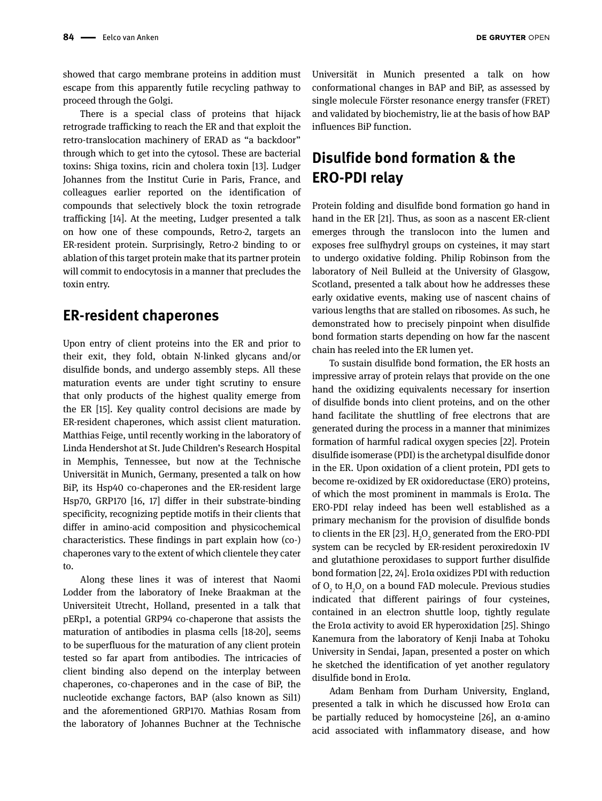showed that cargo membrane proteins in addition must escape from this apparently futile recycling pathway to proceed through the Golgi.

There is a special class of proteins that hijack retrograde trafficking to reach the ER and that exploit the retro-translocation machinery of ERAD as "a backdoor" through which to get into the cytosol. These are bacterial toxins: Shiga toxins, ricin and cholera toxin [13]. Ludger Johannes from the Institut Curie in Paris, France, and colleagues earlier reported on the identification of compounds that selectively block the toxin retrograde trafficking [14]. At the meeting, Ludger presented a talk on how one of these compounds, Retro-2, targets an ER-resident protein. Surprisingly, Retro-2 binding to or ablation of this target protein make that its partner protein will commit to endocytosis in a manner that precludes the toxin entry.

#### **ER-resident chaperones**

Upon entry of client proteins into the ER and prior to their exit, they fold, obtain N-linked glycans and/or disulfide bonds, and undergo assembly steps. All these maturation events are under tight scrutiny to ensure that only products of the highest quality emerge from the ER [15]. Key quality control decisions are made by ER-resident chaperones, which assist client maturation. Matthias Feige, until recently working in the laboratory of Linda Hendershot at St. Jude Children's Research Hospital in Memphis, Tennessee, but now at the Technische Universität in Munich, Germany, presented a talk on how BiP, its Hsp40 co-chaperones and the ER-resident large Hsp70, GRP170 [16, 17] differ in their substrate-binding specificity, recognizing peptide motifs in their clients that differ in amino-acid composition and physicochemical characteristics. These findings in part explain how (co-) chaperones vary to the extent of which clientele they cater to.

Along these lines it was of interest that Naomi Lodder from the laboratory of Ineke Braakman at the Universiteit Utrecht, Holland, presented in a talk that pERp1, a potential GRP94 co-chaperone that assists the maturation of antibodies in plasma cells [18-20], seems to be superfluous for the maturation of any client protein tested so far apart from antibodies. The intricacies of client binding also depend on the interplay between chaperones, co-chaperones and in the case of BiP, the nucleotide exchange factors, BAP (also known as Sil1) and the aforementioned GRP170. Mathias Rosam from the laboratory of Johannes Buchner at the Technische

Universität in Munich presented a talk on how conformational changes in BAP and BiP, as assessed by single molecule Förster resonance energy transfer (FRET) and validated by biochemistry, lie at the basis of how BAP influences BiP function.

## **Disulfide bond formation & the ERO-PDI relay**

Protein folding and disulfide bond formation go hand in hand in the ER [21]. Thus, as soon as a nascent ER-client emerges through the translocon into the lumen and exposes free sulfhydryl groups on cysteines, it may start to undergo oxidative folding. Philip Robinson from the laboratory of Neil Bulleid at the University of Glasgow, Scotland, presented a talk about how he addresses these early oxidative events, making use of nascent chains of various lengths that are stalled on ribosomes. As such, he demonstrated how to precisely pinpoint when disulfide bond formation starts depending on how far the nascent chain has reeled into the ER lumen yet.

To sustain disulfide bond formation, the ER hosts an impressive array of protein relays that provide on the one hand the oxidizing equivalents necessary for insertion of disulfide bonds into client proteins, and on the other hand facilitate the shuttling of free electrons that are generated during the process in a manner that minimizes formation of harmful radical oxygen species [22]. Protein disulfide isomerase (PDI) is the archetypal disulfide donor in the ER. Upon oxidation of a client protein, PDI gets to become re-oxidized by ER oxidoreductase (ERO) proteins, of which the most prominent in mammals is Ero1α. The ERO-PDI relay indeed has been well established as a primary mechanism for the provision of disulfide bonds to clients in the ER [23].  ${\rm H_2O_2}$  generated from the ERO-PDI system can be recycled by ER-resident peroxiredoxin IV and glutathione peroxidases to support further disulfide bond formation [22, 24]. Ero1α oxidizes PDI with reduction of  $O_2$  to  $H_2O_2$  on a bound FAD molecule. Previous studies indicated that different pairings of four cysteines, contained in an electron shuttle loop, tightly regulate the Ero1α activity to avoid ER hyperoxidation [25]. Shingo Kanemura from the laboratory of Kenji Inaba at Tohoku University in Sendai, Japan, presented a poster on which he sketched the identification of yet another regulatory disulfide bond in Ero1α.

Adam Benham from Durham University, England, presented a talk in which he discussed how Ero1α can be partially reduced by homocysteine [26], an  $\alpha$ -amino acid associated with inflammatory disease, and how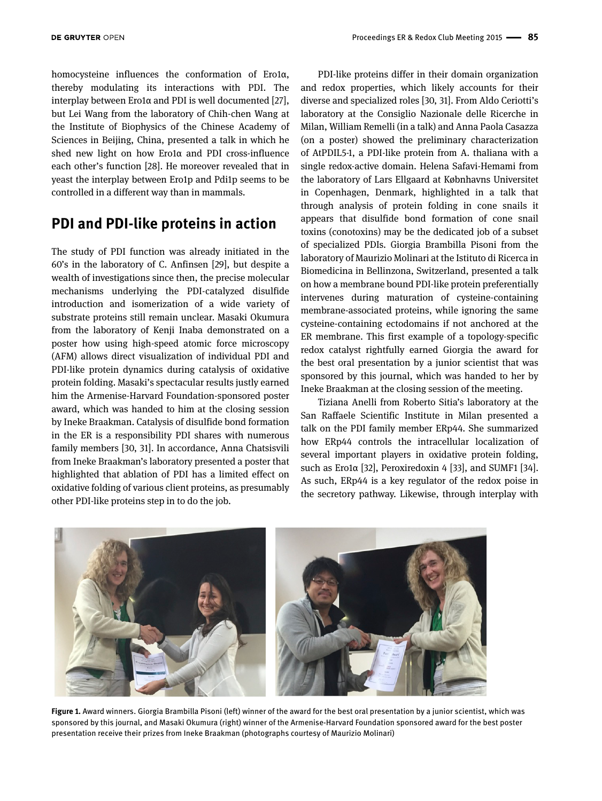homocysteine influences the conformation of Ero1α, thereby modulating its interactions with PDI. The interplay between Ero1 $\alpha$  and PDI is well documented [27], but Lei Wang from the laboratory of Chih-chen Wang at the Institute of Biophysics of the Chinese Academy of Sciences in Beijing, China, presented a talk in which he shed new light on how Ero1α and PDI cross-influence each other's function [28]. He moreover revealed that in yeast the interplay between Ero1p and Pdi1p seems to be controlled in a different way than in mammals.

#### **PDI and PDI-like proteins in action**

The study of PDI function was already initiated in the 60's in the laboratory of C. Anfinsen [29], but despite a wealth of investigations since then, the precise molecular mechanisms underlying the PDI-catalyzed disulfide introduction and isomerization of a wide variety of substrate proteins still remain unclear. Masaki Okumura from the laboratory of Kenji Inaba demonstrated on a poster how using high-speed atomic force microscopy (AFM) allows direct visualization of individual PDI and PDI-like protein dynamics during catalysis of oxidative protein folding. Masaki's spectacular results justly earned him the Armenise-Harvard Foundation-sponsored poster award, which was handed to him at the closing session by Ineke Braakman. Catalysis of disulfide bond formation in the ER is a responsibility PDI shares with numerous family members [30, 31]. In accordance, Anna Chatsisvili from Ineke Braakman's laboratory presented a poster that highlighted that ablation of PDI has a limited effect on oxidative folding of various client proteins, as presumably other PDI-like proteins step in to do the job.

PDI-like proteins differ in their domain organization and redox properties, which likely accounts for their diverse and specialized roles [30, 31]. From Aldo Ceriotti's laboratory at the Consiglio Nazionale delle Ricerche in Milan, William Remelli (in a talk) and Anna Paola Casazza (on a poster) showed the preliminary characterization of AtPDIL5-1, a PDI-like protein from A. thaliana with a single redox-active domain. Helena Safavi-Hemami from the laboratory of Lars Ellgaard at Købnhavns Universitet in Copenhagen, Denmark, highlighted in a talk that through analysis of protein folding in cone snails it appears that disulfide bond formation of cone snail toxins (conotoxins) may be the dedicated job of a subset of specialized PDIs. Giorgia Brambilla Pisoni from the laboratory of Maurizio Molinari at the Istituto di Ricerca in Biomedicina in Bellinzona, Switzerland, presented a talk on how a membrane bound PDI-like protein preferentially intervenes during maturation of cysteine-containing membrane-associated proteins, while ignoring the same cysteine-containing ectodomains if not anchored at the ER membrane. This first example of a topology-specific redox catalyst rightfully earned Giorgia the award for the best oral presentation by a junior scientist that was sponsored by this journal, which was handed to her by Ineke Braakman at the closing session of the meeting.

Tiziana Anelli from Roberto Sitia's laboratory at the San Raffaele Scientific Institute in Milan presented a talk on the PDI family member ERp44. She summarized how ERp44 controls the intracellular localization of several important players in oxidative protein folding, such as Ero1α [32], Peroxiredoxin 4 [33], and SUMF1 [34]. As such, ERp44 is a key regulator of the redox poise in the secretory pathway. Likewise, through interplay with



**Figure 1.** Award winners. Giorgia Brambilla Pisoni (left) winner of the award for the best oral presentation by a junior scientist, which was sponsored by this journal, and Masaki Okumura (right) winner of the Armenise-Harvard Foundation sponsored award for the best poster presentation receive their prizes from Ineke Braakman (photographs courtesy of Maurizio Molinari)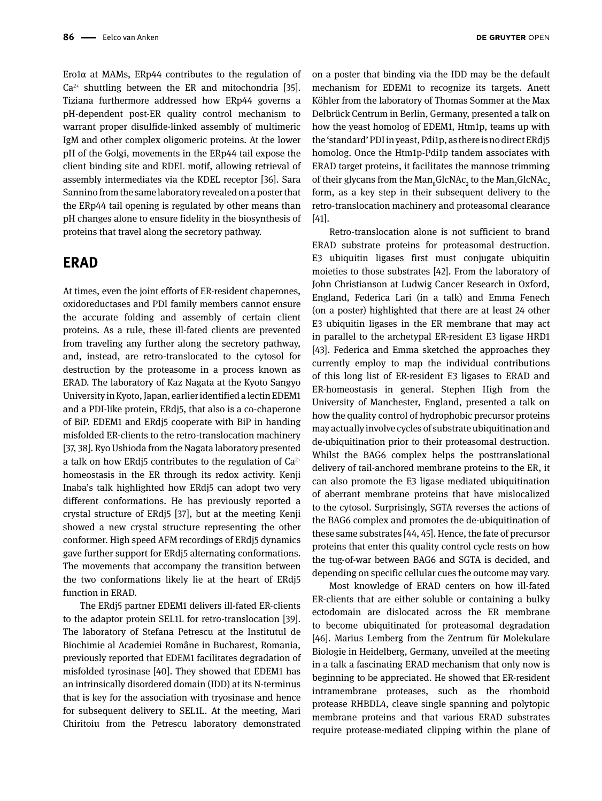Ero1α at MAMs, ERp44 contributes to the regulation of  $Ca<sup>2+</sup>$  shuttling between the ER and mitochondria [35]. Tiziana furthermore addressed how ERp44 governs a pH-dependent post-ER quality control mechanism to warrant proper disulfide-linked assembly of multimeric IgM and other complex oligomeric proteins. At the lower pH of the Golgi, movements in the ERp44 tail expose the client binding site and RDEL motif, allowing retrieval of assembly intermediates via the KDEL receptor [36]. Sara Sannino from the same laboratory revealed on a poster that the ERp44 tail opening is regulated by other means than pH changes alone to ensure fidelity in the biosynthesis of proteins that travel along the secretory pathway.

#### **ERAD**

At times, even the joint efforts of ER-resident chaperones, oxidoreductases and PDI family members cannot ensure the accurate folding and assembly of certain client proteins. As a rule, these ill-fated clients are prevented from traveling any further along the secretory pathway, and, instead, are retro-translocated to the cytosol for destruction by the proteasome in a process known as ERAD. The laboratory of Kaz Nagata at the Kyoto Sangyo University in Kyoto, Japan, earlier identified a lectin EDEM1 and a PDI-like protein, ERdj5, that also is a co-chaperone of BiP. EDEM1 and ERdj5 cooperate with BiP in handing misfolded ER-clients to the retro-translocation machinery [37, 38]. Ryo Ushioda from the Nagata laboratory presented a talk on how ERdi5 contributes to the regulation of  $Ca^{2+}$ homeostasis in the ER through its redox activity. Kenji Inaba's talk highlighted how ERdj5 can adopt two very different conformations. He has previously reported a crystal structure of ERdj5 [37], but at the meeting Kenji showed a new crystal structure representing the other conformer. High speed AFM recordings of ERdj5 dynamics gave further support for ERdj5 alternating conformations. The movements that accompany the transition between the two conformations likely lie at the heart of ERdj5 function in ERAD.

The ERdj5 partner EDEM1 delivers ill-fated ER-clients to the adaptor protein SEL1L for retro-translocation [39]. The laboratory of Stefana Petrescu at the Institutul de Biochimie al Academiei Române in Bucharest, Romania, previously reported that EDEM1 facilitates degradation of misfolded tyrosinase [40]. They showed that EDEM1 has an intrinsically disordered domain (IDD) at its N-terminus that is key for the association with tryosinase and hence for subsequent delivery to SEL1L. At the meeting, Mari Chiritoiu from the Petrescu laboratory demonstrated

DE GRUYTER OPEN

on a poster that binding via the IDD may be the default mechanism for EDEM1 to recognize its targets. Anett Köhler from the laboratory of Thomas Sommer at the Max Delbrück Centrum in Berlin, Germany, presented a talk on how the yeast homolog of EDEM1, Htm1p, teams up with the 'standard' PDI in yeast, Pdi1p, as there is no direct ERdj5 homolog. Once the Htm1p-Pdi1p tandem associates with ERAD target proteins, it facilitates the mannose trimming of their glycans from the  $\mathtt{Man}_s\allowbreak\mathrm{GlcNAc}_2$  to the  $\mathtt{Man}_\tau\allowbreak\mathrm{GlcNAc}_2$ form, as a key step in their subsequent delivery to the retro-translocation machinery and proteasomal clearance [41].

Retro-translocation alone is not sufficient to brand ERAD substrate proteins for proteasomal destruction. E3 ubiquitin ligases first must conjugate ubiquitin moieties to those substrates [42]. From the laboratory of John Christianson at Ludwig Cancer Research in Oxford, England, Federica Lari (in a talk) and Emma Fenech (on a poster) highlighted that there are at least 24 other E3 ubiquitin ligases in the ER membrane that may act in parallel to the archetypal ER-resident E3 ligase HRD1 [43]. Federica and Emma sketched the approaches they currently employ to map the individual contributions of this long list of ER-resident E3 ligases to ERAD and ER-homeostasis in general. Stephen High from the University of Manchester, England, presented a talk on how the quality control of hydrophobic precursor proteins may actually involve cycles of substrate ubiquitination and de-ubiquitination prior to their proteasomal destruction. Whilst the BAG6 complex helps the posttranslational delivery of tail-anchored membrane proteins to the ER, it can also promote the E3 ligase mediated ubiquitination of aberrant membrane proteins that have mislocalized to the cytosol. Surprisingly, SGTA reverses the actions of the BAG6 complex and promotes the de-ubiquitination of these same substrates [44, 45]. Hence, the fate of precursor proteins that enter this quality control cycle rests on how the tug-of-war between BAG6 and SGTA is decided, and depending on specific cellular cues the outcome may vary.

Most knowledge of ERAD centers on how ill-fated ER-clients that are either soluble or containing a bulky ectodomain are dislocated across the ER membrane to become ubiquitinated for proteasomal degradation [46]. Marius Lemberg from the Zentrum für Molekulare Biologie in Heidelberg, Germany, unveiled at the meeting in a talk a fascinating ERAD mechanism that only now is beginning to be appreciated. He showed that ER-resident intramembrane proteases, such as the rhomboid protease RHBDL4, cleave single spanning and polytopic membrane proteins and that various ERAD substrates require protease-mediated clipping within the plane of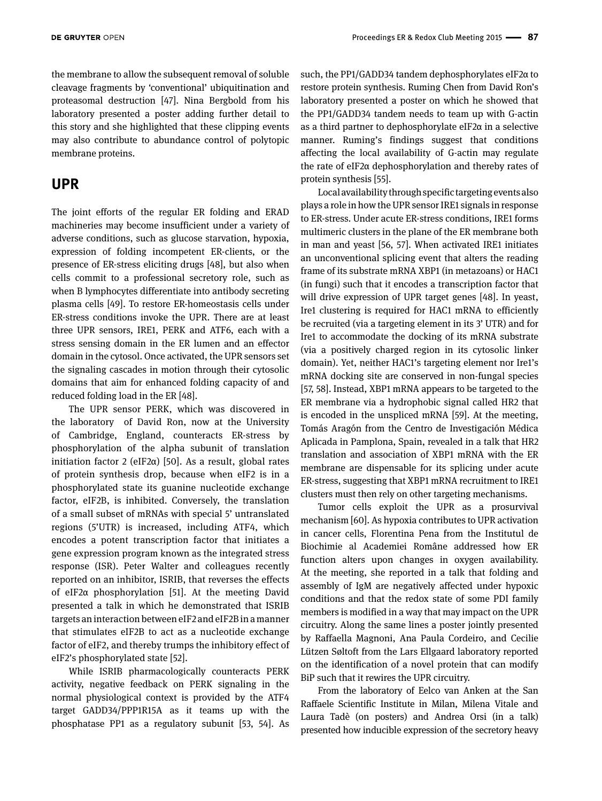the membrane to allow the subsequent removal of soluble cleavage fragments by 'conventional' ubiquitination and proteasomal destruction [47]. Nina Bergbold from his laboratory presented a poster adding further detail to this story and she highlighted that these clipping events may also contribute to abundance control of polytopic membrane proteins.

#### **UPR**

The joint efforts of the regular ER folding and ERAD machineries may become insufficient under a variety of adverse conditions, such as glucose starvation, hypoxia, expression of folding incompetent ER-clients, or the presence of ER-stress eliciting drugs [48], but also when cells commit to a professional secretory role, such as when B lymphocytes differentiate into antibody secreting plasma cells [49]. To restore ER-homeostasis cells under ER-stress conditions invoke the UPR. There are at least three UPR sensors, IRE1, PERK and ATF6, each with a stress sensing domain in the ER lumen and an effector domain in the cytosol. Once activated, the UPR sensors set the signaling cascades in motion through their cytosolic domains that aim for enhanced folding capacity of and reduced folding load in the ER [48].

The UPR sensor PERK, which was discovered in the laboratory of David Ron, now at the University of Cambridge, England, counteracts ER-stress by phosphorylation of the alpha subunit of translation initiation factor 2 (eIF2α) [50]. As a result, global rates of protein synthesis drop, because when eIF2 is in a phosphorylated state its guanine nucleotide exchange factor, eIF2B, is inhibited. Conversely, the translation of a small subset of mRNAs with special 5' untranslated regions (5'UTR) is increased, including ATF4, which encodes a potent transcription factor that initiates a gene expression program known as the integrated stress response (ISR). Peter Walter and colleagues recently reported on an inhibitor, ISRIB, that reverses the effects of eIF2α phosphorylation [51]. At the meeting David presented a talk in which he demonstrated that ISRIB targets an interaction between eIF2 and eIF2B in a manner that stimulates eIF2B to act as a nucleotide exchange factor of eIF2, and thereby trumps the inhibitory effect of eIF2's phosphorylated state [52].

While ISRIB pharmacologically counteracts PERK activity, negative feedback on PERK signaling in the normal physiological context is provided by the ATF4 target GADD34/PPP1R15A as it teams up with the phosphatase PP1 as a regulatory subunit [53, 54]. As such, the PP1/GADD34 tandem dephosphorylates eIF2α to restore protein synthesis. Ruming Chen from David Ron's laboratory presented a poster on which he showed that the PP1/GADD34 tandem needs to team up with G-actin as a third partner to dephosphorylate eIF2α in a selective manner. Ruming's findings suggest that conditions affecting the local availability of G-actin may regulate the rate of eIF2α dephosphorylation and thereby rates of protein synthesis [55].

Local availability through specific targeting events also plays a role in how the UPR sensor IRE1 signals in response to ER-stress. Under acute ER-stress conditions, IRE1 forms multimeric clusters in the plane of the ER membrane both in man and yeast [56, 57]. When activated IRE1 initiates an unconventional splicing event that alters the reading frame of its substrate mRNA XBP1 (in metazoans) or HAC1 (in fungi) such that it encodes a transcription factor that will drive expression of UPR target genes [48]. In yeast, Ire1 clustering is required for HAC1 mRNA to efficiently be recruited (via a targeting element in its 3' UTR) and for Ire1 to accommodate the docking of its mRNA substrate (via a positively charged region in its cytosolic linker domain). Yet, neither HAC1's targeting element nor Ire1's mRNA docking site are conserved in non-fungal species [57, 58]. Instead, XBP1 mRNA appears to be targeted to the ER membrane via a hydrophobic signal called HR2 that is encoded in the unspliced mRNA [59]. At the meeting, Tomás Aragón from the Centro de Investigación Médica Aplicada in Pamplona, Spain, revealed in a talk that HR2 translation and association of XBP1 mRNA with the ER membrane are dispensable for its splicing under acute ER-stress, suggesting that XBP1 mRNA recruitment to IRE1 clusters must then rely on other targeting mechanisms.

Tumor cells exploit the UPR as a prosurvival mechanism [60]. As hypoxia contributes to UPR activation in cancer cells, Florentina Pena from the Institutul de Biochimie al Academiei Române addressed how ER function alters upon changes in oxygen availability. At the meeting, she reported in a talk that folding and assembly of IgM are negatively affected under hypoxic conditions and that the redox state of some PDI family members is modified in a way that may impact on the UPR circuitry. Along the same lines a poster jointly presented by Raffaella Magnoni, Ana Paula Cordeiro, and Cecilie Lützen Søltoft from the Lars Ellgaard laboratory reported on the identification of a novel protein that can modify BiP such that it rewires the UPR circuitry.

From the laboratory of Eelco van Anken at the San Raffaele Scientific Institute in Milan, Milena Vitale and Laura Tadè (on posters) and Andrea Orsi (in a talk) presented how inducible expression of the secretory heavy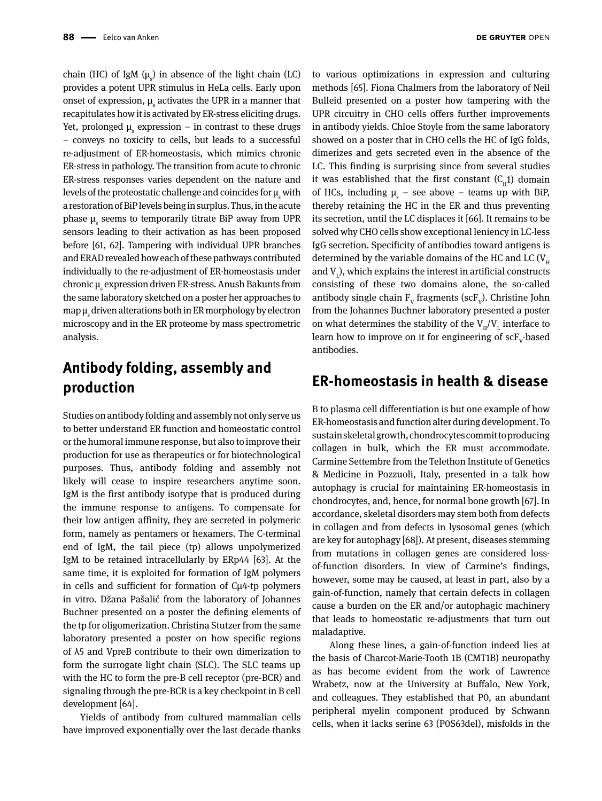chain (HC) of IgM  $(\mu_{\text{s}})$  in absence of the light chain (LC) provides a potent UPR stimulus in HeLa cells. Early upon onset of expression,  $\mu_{\text{\tiny s}}$  activates the UPR in a manner that recapitulates how it is activated by ER-stress eliciting drugs. Yet, prolonged  $\mu_{\text{\tiny s}}$  expression – in contrast to these drugs – conveys no toxicity to cells, but leads to a successful re-adjustment of ER-homeostasis, which mimics chronic ER-stress in pathology. The transition from acute to chronic ER-stress responses varies dependent on the nature and levels of the proteostatic challenge and coincides for  $\mu_{\textrm{\tiny{s}}}$  with a restoration of BiP levels being in surplus. Thus, in the acute phase  $\mu_{\text{\tiny s}}$  seems to temporarily titrate BiP away from UPR sensors leading to their activation as has been proposed before [61, 62]. Tampering with individual UPR branches and ERAD revealed how each of these pathways contributed individually to the re-adjustment of ER-homeostasis under chronic  $\mu_{\text{\tiny s}}$  expression driven ER-stress. Anush Bakunts from the same laboratory sketched on a poster her approaches to map  $\mu_{\text{\tiny s}}$  driven alterations both in ER morphology by electron microscopy and in the ER proteome by mass spectrometric analysis.

# **Antibody folding, assembly and production**

Studies on antibody folding and assembly not only serve us to better understand ER function and homeostatic control or the humoral immune response, but also to improve their production for use as therapeutics or for biotechnological purposes. Thus, antibody folding and assembly not likely will cease to inspire researchers anytime soon. IgM is the first antibody isotype that is produced during the immune response to antigens. To compensate for their low antigen affinity, they are secreted in polymeric form, namely as pentamers or hexamers. The C-terminal end of IgM, the tail piece (tp) allows unpolymerized IgM to be retained intracellularly by ERp44 [63]. At the same time, it is exploited for formation of IgM polymers in cells and sufficient for formation of Cµ4-tp polymers in vitro. Džana Pašalić from the laboratory of Johannes Buchner presented on a poster the defining elements of the tp for oligomerization. Christina Stutzer from the same laboratory presented a poster on how specific regions of λ5 and VpreB contribute to their own dimerization to form the surrogate light chain (SLC). The SLC teams up with the HC to form the pre-B cell receptor (pre-BCR) and signaling through the pre-BCR is a key checkpoint in B cell development [64].

Yields of antibody from cultured mammalian cells have improved exponentially over the last decade thanks

to various optimizations in expression and culturing methods [65]. Fiona Chalmers from the laboratory of Neil Bulleid presented on a poster how tampering with the UPR circuitry in CHO cells offers further improvements in antibody yields. Chloe Stoyle from the same laboratory showed on a poster that in CHO cells the HC of IgG folds, dimerizes and gets secreted even in the absence of the LC. This finding is surprising since from several studies it was established that the first constant  $(C<sub>H</sub>1)$  domain of HCs, including  $\mu$ <sub>s</sub> – see above – teams up with BiP, thereby retaining the HC in the ER and thus preventing its secretion, until the LC displaces it [66]. It remains to be solved why CHO cells show exceptional leniency in LC-less IgG secretion. Specificity of antibodies toward antigens is determined by the variable domains of the HC and LC  $(V_{\mu})$ and  $V_{L}$ ), which explains the interest in artificial constructs consisting of these two domains alone, the so-called antibody single chain  $F_v$  fragments (sc $F_v$ ). Christine John from the Johannes Buchner laboratory presented a poster on what determines the stability of the  $\rm V_{H}/V_{L}$  interface to learn how to improve on it for engineering of  $\text{scF}_v$ -based antibodies.

#### **ER-homeostasis in health & disease**

B to plasma cell differentiation is but one example of how ER-homeostasis and function alter during development. To sustain skeletal growth, chondrocytes commit to producing collagen in bulk, which the ER must accommodate. Carmine Settembre from the Telethon Institute of Genetics & Medicine in Pozzuoli, Italy, presented in a talk how autophagy is crucial for maintaining ER-homeostasis in chondrocytes, and, hence, for normal bone growth [67]. In accordance, skeletal disorders may stem both from defects in collagen and from defects in lysosomal genes (which are key for autophagy [68]). At present, diseases stemming from mutations in collagen genes are considered lossof-function disorders. In view of Carmine's findings, however, some may be caused, at least in part, also by a gain-of-function, namely that certain defects in collagen cause a burden on the ER and/or autophagic machinery that leads to homeostatic re-adjustments that turn out maladaptive.

Along these lines, a gain-of-function indeed lies at the basis of Charcot-Marie-Tooth 1B (CMT1B) neuropathy as has become evident from the work of Lawrence Wrabetz, now at the University at Buffalo, New York, and colleagues. They established that P0, an abundant peripheral myelin component produced by Schwann cells, when it lacks serine 63 (P0S63del), misfolds in the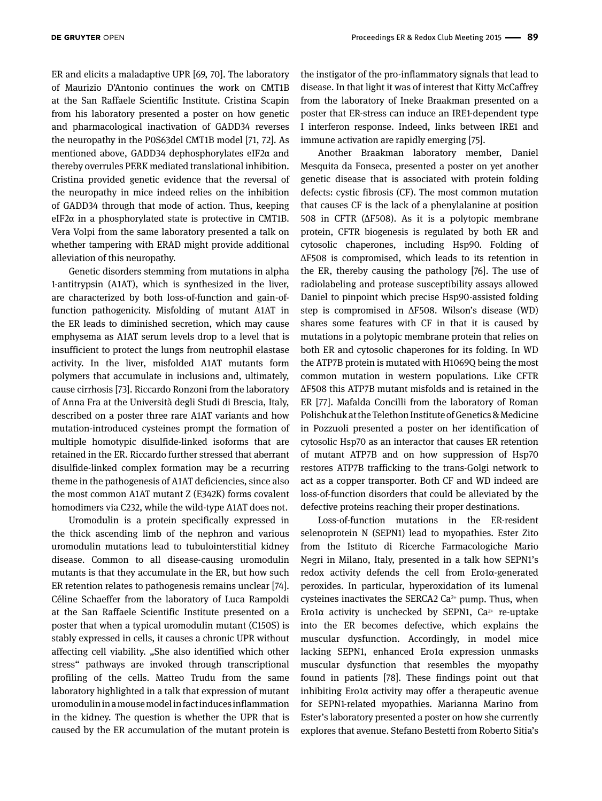ER and elicits a maladaptive UPR [69, 70]. The laboratory of Maurizio D'Antonio continues the work on CMT1B at the San Raffaele Scientific Institute. Cristina Scapin from his laboratory presented a poster on how genetic and pharmacological inactivation of GADD34 reverses the neuropathy in the P0S63del CMT1B model [71, 72]. As mentioned above, GADD34 dephosphorylates eIF2α and thereby overrules PERK mediated translational inhibition. Cristina provided genetic evidence that the reversal of the neuropathy in mice indeed relies on the inhibition of GADD34 through that mode of action. Thus, keeping eIF2 $\alpha$  in a phosphorylated state is protective in CMT1B. Vera Volpi from the same laboratory presented a talk on whether tampering with ERAD might provide additional alleviation of this neuropathy.

Genetic disorders stemming from mutations in alpha 1-antitrypsin (A1AT), which is synthesized in the liver, are characterized by both loss-of-function and gain-offunction pathogenicity. Misfolding of mutant A1AT in the ER leads to diminished secretion, which may cause emphysema as A1AT serum levels drop to a level that is insufficient to protect the lungs from neutrophil elastase activity. In the liver, misfolded A1AT mutants form polymers that accumulate in inclusions and, ultimately, cause cirrhosis [73]. Riccardo Ronzoni from the laboratory of Anna Fra at the Università degli Studi di Brescia, Italy, described on a poster three rare A1AT variants and how mutation-introduced cysteines prompt the formation of multiple homotypic disulfide-linked isoforms that are retained in the ER. Riccardo further stressed that aberrant disulfide-linked complex formation may be a recurring theme in the pathogenesis of A1AT deficiencies, since also the most common A1AT mutant Z (E342K) forms covalent homodimers via C232, while the wild-type A1AT does not.

Uromodulin is a protein specifically expressed in the thick ascending limb of the nephron and various uromodulin mutations lead to tubulointerstitial kidney disease. Common to all disease-causing uromodulin mutants is that they accumulate in the ER, but how such ER retention relates to pathogenesis remains unclear [74]. Céline Schaeffer from the laboratory of Luca Rampoldi at the San Raffaele Scientific Institute presented on a poster that when a typical uromodulin mutant (C150S) is stably expressed in cells, it causes a chronic UPR without affecting cell viability. "She also identified which other stress" pathways are invoked through transcriptional profiling of the cells. Matteo Trudu from the same laboratory highlighted in a talk that expression of mutant uromodulin in a mouse model in fact induces inflammation in the kidney. The question is whether the UPR that is caused by the ER accumulation of the mutant protein is

the instigator of the pro-inflammatory signals that lead to disease. In that light it was of interest that Kitty McCaffrey from the laboratory of Ineke Braakman presented on a poster that ER-stress can induce an IRE1-dependent type I interferon response. Indeed, links between IRE1 and immune activation are rapidly emerging [75].

Another Braakman laboratory member, Daniel Mesquita da Fonseca, presented a poster on yet another genetic disease that is associated with protein folding defects: cystic fibrosis (CF). The most common mutation that causes CF is the lack of a phenylalanine at position 508 in CFTR (ΔF508). As it is a polytopic membrane protein, CFTR biogenesis is regulated by both ER and cytosolic chaperones, including Hsp90. Folding of ΔF508 is compromised, which leads to its retention in the ER, thereby causing the pathology [76]. The use of radiolabeling and protease susceptibility assays allowed Daniel to pinpoint which precise Hsp90-assisted folding step is compromised in ΔF508. Wilson's disease (WD) shares some features with CF in that it is caused by mutations in a polytopic membrane protein that relies on both ER and cytosolic chaperones for its folding. In WD the ATP7B protein is mutated with H1069Q being the most common mutation in western populations. Like CFTR ΔF508 this ATP7B mutant misfolds and is retained in the ER [77]. Mafalda Concilli from the laboratory of Roman Polishchuk at the Telethon Institute of Genetics & Medicine in Pozzuoli presented a poster on her identification of cytosolic Hsp70 as an interactor that causes ER retention of mutant ATP7B and on how suppression of Hsp70 restores ATP7B trafficking to the trans-Golgi network to act as a copper transporter. Both CF and WD indeed are loss-of-function disorders that could be alleviated by the defective proteins reaching their proper destinations.

Loss-of-function mutations in the ER-resident selenoprotein N (SEPN1) lead to myopathies. Ester Zito from the Istituto di Ricerche Farmacologiche Mario Negri in Milano, Italy, presented in a talk how SEPN1's redox activity defends the cell from Ero1α-generated peroxides. In particular, hyperoxidation of its lumenal cysteines inactivates the SERCA2  $Ca^{2+}$  pump. Thus, when Ero1 $\alpha$  activity is unchecked by SEPN1, Ca<sup>2+</sup> re-uptake into the ER becomes defective, which explains the muscular dysfunction. Accordingly, in model mice lacking SEPN1, enhanced Ero1α expression unmasks muscular dysfunction that resembles the myopathy found in patients [78]. These findings point out that inhibiting Ero1α activity may offer a therapeutic avenue for SEPN1-related myopathies. Marianna Marino from Ester's laboratory presented a poster on how she currently explores that avenue. Stefano Bestetti from Roberto Sitia's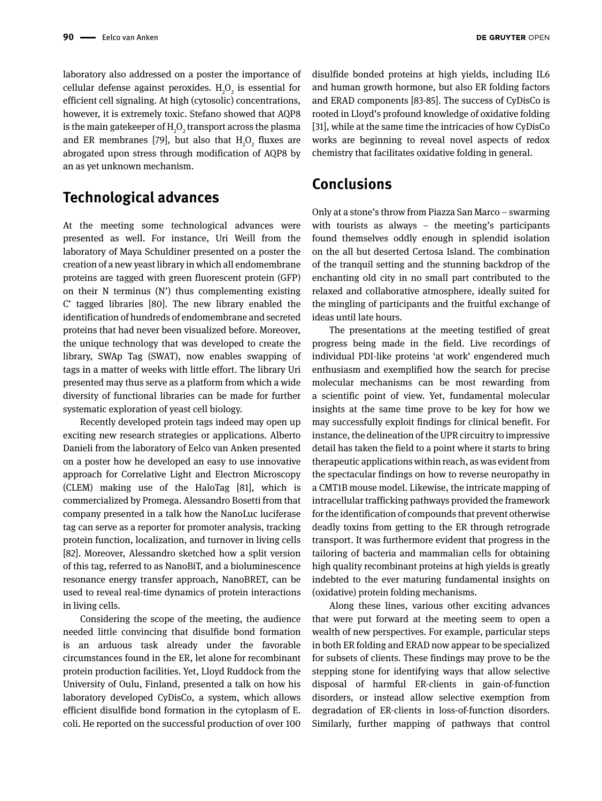laboratory also addressed on a poster the importance of cellular defense against peroxides.  ${\rm H_2O_2}$  is essential for efficient cell signaling. At high (cytosolic) concentrations, however, it is extremely toxic. Stefano showed that AQP8 is the main gatekeeper of  ${\rm H_2O_2}$  transport across the plasma and ER membranes [79], but also that  $H_2O_2$  fluxes are abrogated upon stress through modification of AQP8 by an as yet unknown mechanism.

## **Technological advances**

At the meeting some technological advances were presented as well. For instance, Uri Weill from the laboratory of Maya Schuldiner presented on a poster the creation of a new yeast library in which all endomembrane proteins are tagged with green fluorescent protein (GFP) on their N terminus (N') thus complementing existing C' tagged libraries [80]. The new library enabled the identification of hundreds of endomembrane and secreted proteins that had never been visualized before. Moreover, the unique technology that was developed to create the library, SWAp Tag (SWAT), now enables swapping of tags in a matter of weeks with little effort. The library Uri presented may thus serve as a platform from which a wide diversity of functional libraries can be made for further systematic exploration of yeast cell biology.

Recently developed protein tags indeed may open up exciting new research strategies or applications. Alberto Danieli from the laboratory of Eelco van Anken presented on a poster how he developed an easy to use innovative approach for Correlative Light and Electron Microscopy (CLEM) making use of the HaloTag [81], which is commercialized by Promega. Alessandro Bosetti from that company presented in a talk how the NanoLuc luciferase tag can serve as a reporter for promoter analysis, tracking protein function, localization, and turnover in living cells [82]. Moreover, Alessandro sketched how a split version of this tag, referred to as NanoBiT, and a bioluminescence resonance energy transfer approach, NanoBRET, can be used to reveal real-time dynamics of protein interactions in living cells.

Considering the scope of the meeting, the audience needed little convincing that disulfide bond formation is an arduous task already under the favorable circumstances found in the ER, let alone for recombinant protein production facilities. Yet, Lloyd Ruddock from the University of Oulu, Finland, presented a talk on how his laboratory developed CyDisCo, a system, which allows efficient disulfide bond formation in the cytoplasm of E. coli. He reported on the successful production of over 100

disulfide bonded proteins at high yields, including IL6 and human growth hormone, but also ER folding factors and ERAD components [83-85]. The success of CyDisCo is rooted in Lloyd's profound knowledge of oxidative folding [31], while at the same time the intricacies of how CyDisCo works are beginning to reveal novel aspects of redox chemistry that facilitates oxidative folding in general.

## **Conclusions**

Only at a stone's throw from Piazza San Marco – swarming with tourists as always – the meeting's participants found themselves oddly enough in splendid isolation on the all but deserted Certosa Island. The combination of the tranquil setting and the stunning backdrop of the enchanting old city in no small part contributed to the relaxed and collaborative atmosphere, ideally suited for the mingling of participants and the fruitful exchange of ideas until late hours.

The presentations at the meeting testified of great progress being made in the field. Live recordings of individual PDI-like proteins 'at work' engendered much enthusiasm and exemplified how the search for precise molecular mechanisms can be most rewarding from a scientific point of view. Yet, fundamental molecular insights at the same time prove to be key for how we may successfully exploit findings for clinical benefit. For instance, the delineation of the UPR circuitry to impressive detail has taken the field to a point where it starts to bring therapeutic applications within reach, as was evident from the spectacular findings on how to reverse neuropathy in a CMT1B mouse model. Likewise, the intricate mapping of intracellular trafficking pathways provided the framework for the identification of compounds that prevent otherwise deadly toxins from getting to the ER through retrograde transport. It was furthermore evident that progress in the tailoring of bacteria and mammalian cells for obtaining high quality recombinant proteins at high yields is greatly indebted to the ever maturing fundamental insights on (oxidative) protein folding mechanisms.

Along these lines, various other exciting advances that were put forward at the meeting seem to open a wealth of new perspectives. For example, particular steps in both ER folding and ERAD now appear to be specialized for subsets of clients. These findings may prove to be the stepping stone for identifying ways that allow selective disposal of harmful ER-clients in gain-of-function disorders, or instead allow selective exemption from degradation of ER-clients in loss-of-function disorders. Similarly, further mapping of pathways that control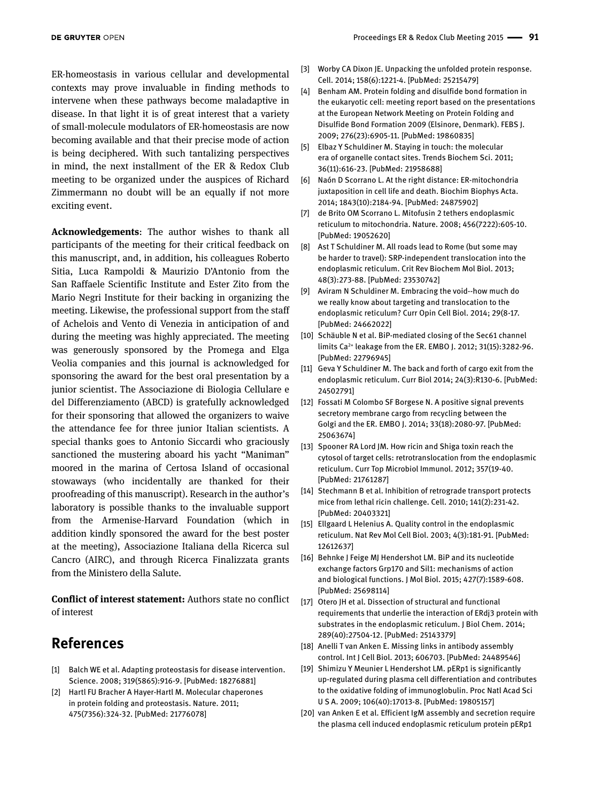ER-homeostasis in various cellular and developmental contexts may prove invaluable in finding methods to intervene when these pathways become maladaptive in disease. In that light it is of great interest that a variety of small-molecule modulators of ER-homeostasis are now becoming available and that their precise mode of action is being deciphered. With such tantalizing perspectives in mind, the next installment of the ER & Redox Club meeting to be organized under the auspices of Richard Zimmermann no doubt will be an equally if not more exciting event.

**Acknowledgements**: The author wishes to thank all participants of the meeting for their critical feedback on this manuscript, and, in addition, his colleagues Roberto Sitia, Luca Rampoldi & Maurizio D'Antonio from the San Raffaele Scientific Institute and Ester Zito from the Mario Negri Institute for their backing in organizing the meeting. Likewise, the professional support from the staff of Achelois and Vento di Venezia in anticipation of and during the meeting was highly appreciated. The meeting was generously sponsored by the Promega and Elga Veolia companies and this journal is acknowledged for sponsoring the award for the best oral presentation by a junior scientist. The Associazione di Biologia Cellulare e del Differenziamento (ABCD) is gratefully acknowledged for their sponsoring that allowed the organizers to waive the attendance fee for three junior Italian scientists. A special thanks goes to Antonio Siccardi who graciously sanctioned the mustering aboard his yacht "Maniman" moored in the marina of Certosa Island of occasional stowaways (who incidentally are thanked for their proofreading of this manuscript). Research in the author's laboratory is possible thanks to the invaluable support from the Armenise-Harvard Foundation (which in addition kindly sponsored the award for the best poster at the meeting), Associazione Italiana della Ricerca sul Cancro (AIRC), and through Ricerca Finalizzata grants from the Ministero della Salute.

**Conflict of interest statement:** Authors state no conflict of interest

## **References**

- [1] Balch WE et al. Adapting proteostasis for disease intervention. Science. 2008; 319(5865):916-9. [PubMed: 18276881]
- [2] Hartl FU Bracher A Hayer-Hartl M. Molecular chaperones in protein folding and proteostasis. Nature. 2011; 475(7356):324-32. [PubMed: 21776078]
- [3] Worby CA Dixon JE. Unpacking the unfolded protein response. Cell. 2014; 158(6):1221-4. [PubMed: 25215479]
- [4] Benham AM. Protein folding and disulfide bond formation in the eukaryotic cell: meeting report based on the presentations at the European Network Meeting on Protein Folding and Disulfide Bond Formation 2009 (Elsinore, Denmark). FEBS J. 2009; 276(23):6905-11. [PubMed: 19860835]
- [5] Elbaz Y Schuldiner M. Staying in touch: the molecular era of organelle contact sites. Trends Biochem Sci. 2011; 36(11):616-23. [PubMed: 21958688]
- [6] Naón D Scorrano L. At the right distance: ER-mitochondria juxtaposition in cell life and death. Biochim Biophys Acta. 2014; 1843(10):2184-94. [PubMed: 24875902]
- [7] de Brito OM Scorrano L. Mitofusin 2 tethers endoplasmic reticulum to mitochondria. Nature. 2008; 456(7222):605-10. [PubMed: 19052620]
- [8] Ast T Schuldiner M. All roads lead to Rome (but some may be harder to travel): SRP-independent translocation into the endoplasmic reticulum. Crit Rev Biochem Mol Biol. 2013; 48(3):273-88. [PubMed: 23530742]
- [9] Aviram N Schuldiner M. Embracing the void--how much do we really know about targeting and translocation to the endoplasmic reticulum? Curr Opin Cell Biol. 2014; 29(8-17. [PubMed: 24662022]
- [10] Schäuble N et al. BiP-mediated closing of the Sec61 channel limits Ca2+ leakage from the ER. EMBO J. 2012; 31(15):3282-96. [PubMed: 22796945]
- [11] Geva Y Schuldiner M. The back and forth of cargo exit from the endoplasmic reticulum. Curr Biol 2014; 24(3):R130-6. [PubMed: 24502791]
- [12] Fossati M Colombo SF Borgese N. A positive signal prevents secretory membrane cargo from recycling between the Golgi and the ER. EMBO J. 2014; 33(18):2080-97. [PubMed: 25063674]
- [13] Spooner RA Lord JM. How ricin and Shiga toxin reach the cytosol of target cells: retrotranslocation from the endoplasmic reticulum. Curr Top Microbiol Immunol. 2012; 357(19-40. [PubMed: 21761287]
- [14] Stechmann B et al. Inhibition of retrograde transport protects mice from lethal ricin challenge. Cell. 2010; 141(2):231-42. [PubMed: 20403321]
- [15] Ellgaard L Helenius A. Quality control in the endoplasmic reticulum. Nat Rev Mol Cell Biol. 2003; 4(3):181-91. [PubMed: 12612637]
- [16] Behnke J Feige MJ Hendershot LM. BiP and its nucleotide exchange factors Grp170 and Sil1: mechanisms of action and biological functions. J Mol Biol. 2015; 427(7):1589-608. [PubMed: 25698114]
- [17] Otero JH et al. Dissection of structural and functional requirements that underlie the interaction of ERdj3 protein with substrates in the endoplasmic reticulum. J Biol Chem. 2014; 289(40):27504-12. [PubMed: 25143379]
- [18] Anelli T van Anken E. Missing links in antibody assembly control. Int J Cell Biol. 2013; 606703. [PubMed: 24489546]
- [19] Shimizu Y Meunier L Hendershot LM. pERp1 is significantly up-regulated during plasma cell differentiation and contributes to the oxidative folding of immunoglobulin. Proc Natl Acad Sci U S A. 2009; 106(40):17013-8. [PubMed: 19805157]
- [20] van Anken E et al. Efficient IgM assembly and secretion require the plasma cell induced endoplasmic reticulum protein pERp1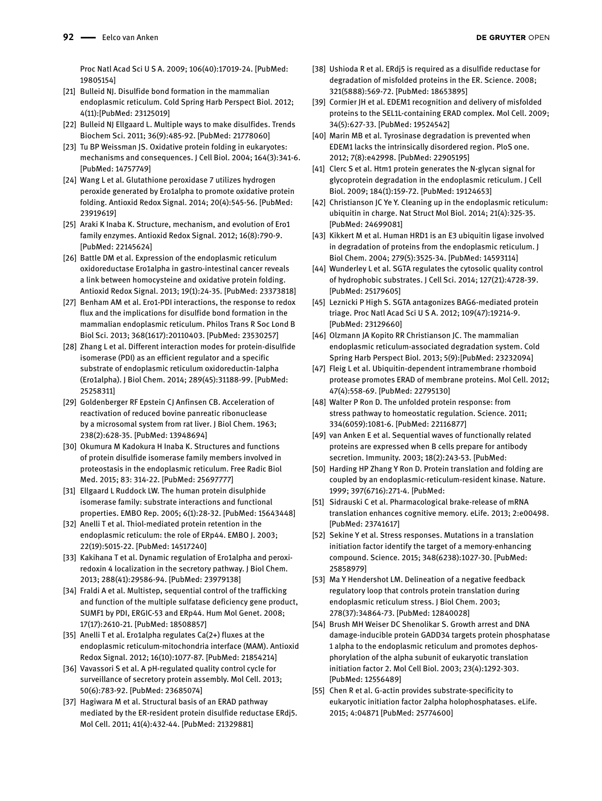Proc Natl Acad Sci U S A. 2009; 106(40):17019-24. [PubMed: 19805154]

- [21] Bulleid NJ. Disulfide bond formation in the mammalian endoplasmic reticulum. Cold Spring Harb Perspect Biol. 2012; 4(11):[PubMed: 23125019]
- [22] Bulleid NJ Ellgaard L. Multiple ways to make disulfides. Trends Biochem Sci. 2011; 36(9):485-92. [PubMed: 21778060]
- [23] Tu BP Weissman JS. Oxidative protein folding in eukaryotes: mechanisms and consequences. J Cell Biol. 2004; 164(3):341-6. [PubMed: 14757749]
- [24] Wang L et al. Glutathione peroxidase 7 utilizes hydrogen peroxide generated by Ero1alpha to promote oxidative protein folding. Antioxid Redox Signal. 2014; 20(4):545-56. [PubMed: 23919619]
- [25] Araki K Inaba K. Structure, mechanism, and evolution of Ero1 family enzymes. Antioxid Redox Signal. 2012; 16(8):790-9. [PubMed: 22145624]
- [26] Battle DM et al. Expression of the endoplasmic reticulum oxidoreductase Ero1alpha in gastro-intestinal cancer reveals a link between homocysteine and oxidative protein folding. Antioxid Redox Signal. 2013; 19(1):24-35. [PubMed: 23373818]
- [27] Benham AM et al. Ero1-PDI interactions, the response to redox flux and the implications for disulfide bond formation in the mammalian endoplasmic reticulum. Philos Trans R Soc Lond B Biol Sci. 2013; 368(1617):20110403. [PubMed: 23530257]
- [28] Zhang L et al. Different interaction modes for protein-disulfide isomerase (PDI) as an efficient regulator and a specific substrate of endoplasmic reticulum oxidoreductin-1alpha (Ero1alpha). J Biol Chem. 2014; 289(45):31188-99. [PubMed: 25258311]
- [29] Goldenberger RF Epstein CJ Anfinsen CB. Acceleration of reactivation of reduced bovine panreatic ribonuclease by a microsomal system from rat liver. J Biol Chem. 1963; 238(2):628-35. [PubMed: 13948694]
- [30] Okumura M Kadokura H Inaba K. Structures and functions of protein disulfide isomerase family members involved in proteostasis in the endoplasmic reticulum. Free Radic Biol Med. 2015; 83: 314-22. [PubMed: 25697777]
- [31] Ellgaard L Ruddock LW. The human protein disulphide isomerase family: substrate interactions and functional properties. EMBO Rep. 2005; 6(1):28-32. [PubMed: 15643448]
- [32] Anelli T et al. Thiol-mediated protein retention in the endoplasmic reticulum: the role of ERp44. EMBO J. 2003; 22(19):5015-22. [PubMed: 14517240]
- [33] Kakihana T et al. Dynamic regulation of Ero1alpha and peroxiredoxin 4 localization in the secretory pathway. J Biol Chem. 2013; 288(41):29586-94. [PubMed: 23979138]
- [34] Fraldi A et al. Multistep, sequential control of the trafficking and function of the multiple sulfatase deficiency gene product, SUMF1 by PDI, ERGIC-53 and ERp44. Hum Mol Genet. 2008; 17(17):2610-21. [PubMed: 18508857]
- [35] Anelli T et al. Ero1alpha regulates Ca(2+) fluxes at the endoplasmic reticulum-mitochondria interface (MAM). Antioxid Redox Signal. 2012; 16(10):1077-87. [PubMed: 21854214]
- [36] Vavassori S et al. A pH-regulated quality control cycle for surveillance of secretory protein assembly. Mol Cell. 2013; 50(6):783-92. [PubMed: 23685074]
- [37] Hagiwara M et al. Structural basis of an ERAD pathway mediated by the ER-resident protein disulfide reductase ERdj5. Mol Cell. 2011; 41(4):432-44. [PubMed: 21329881]
- [38] Ushioda R et al. ERdj5 is required as a disulfide reductase for degradation of misfolded proteins in the ER. Science. 2008; 321(5888):569-72. [PubMed: 18653895]
- [39] Cormier JH et al. EDEM1 recognition and delivery of misfolded proteins to the SEL1L-containing ERAD complex. Mol Cell. 2009; 34(5):627-33. [PubMed: 19524542]
- [40] Marin MB et al. Tyrosinase degradation is prevented when EDEM1 lacks the intrinsically disordered region. PloS one. 2012; 7(8):e42998. [PubMed: 22905195]
- [41] Clerc S et al. Htm1 protein generates the N-glycan signal for glycoprotein degradation in the endoplasmic reticulum. J Cell Biol. 2009; 184(1):159-72. [PubMed: 19124653]
- [42] Christianson JC Ye Y. Cleaning up in the endoplasmic reticulum: ubiquitin in charge. Nat Struct Mol Biol. 2014; 21(4):325-35. [PubMed: 24699081]
- [43] Kikkert M et al. Human HRD1 is an E3 ubiquitin ligase involved in degradation of proteins from the endoplasmic reticulum. J Biol Chem. 2004; 279(5):3525-34. [PubMed: 14593114]
- [44] Wunderley L et al. SGTA regulates the cytosolic quality control of hydrophobic substrates. J Cell Sci. 2014; 127(21):4728-39. [PubMed: 25179605]
- [45] Leznicki P High S. SGTA antagonizes BAG6-mediated protein triage. Proc Natl Acad Sci U S A. 2012; 109(47):19214-9. [PubMed: 23129660]
- [46] Olzmann JA Kopito RR Christianson JC. The mammalian endoplasmic reticulum-associated degradation system. Cold Spring Harb Perspect Biol. 2013; 5(9):[PubMed: 23232094]
- [47] Fleig L et al. Ubiquitin-dependent intramembrane rhomboid protease promotes ERAD of membrane proteins. Mol Cell. 2012; 47(4):558-69. [PubMed: 22795130]
- [48] Walter P Ron D. The unfolded protein response: from stress pathway to homeostatic regulation. Science. 2011; 334(6059):1081-6. [PubMed: 22116877]
- [49] van Anken E et al. Sequential waves of functionally related proteins are expressed when B cells prepare for antibody secretion. Immunity. 2003; 18(2):243-53. [PubMed:
- [50] Harding HP Zhang Y Ron D. Protein translation and folding are coupled by an endoplasmic-reticulum-resident kinase. Nature. 1999; 397(6716):271-4. [PubMed:
- [51] Sidrauski C et al. Pharmacological brake-release of mRNA translation enhances cognitive memory. eLife. 2013; 2:e00498. [PubMed: 23741617]
- [52] Sekine Y et al. Stress responses. Mutations in a translation initiation factor identify the target of a memory-enhancing compound. Science. 2015; 348(6238):1027-30. [PubMed: 25858979]
- [53] Ma Y Hendershot LM. Delineation of a negative feedback regulatory loop that controls protein translation during endoplasmic reticulum stress. J Biol Chem. 2003; 278(37):34864-73. [PubMed: 12840028]
- [54] Brush MH Weiser DC Shenolikar S. Growth arrest and DNA damage-inducible protein GADD34 targets protein phosphatase 1 alpha to the endoplasmic reticulum and promotes dephosphorylation of the alpha subunit of eukaryotic translation initiation factor 2. Mol Cell Biol. 2003; 23(4):1292-303. [PubMed: 12556489]
- [55] Chen R et al. G-actin provides substrate-specificity to eukaryotic initiation factor 2alpha holophosphatases. eLife. 2015; 4:04871 [PubMed: 25774600]